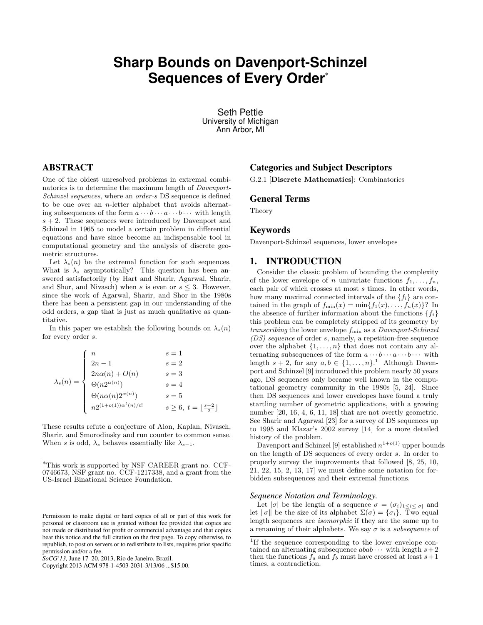# **Sharp Bounds on Davenport-Schinzel Sequences of Every Order**<sup>∗</sup>

Seth Pettie University of Michigan Ann Arbor, MI

# ABSTRACT

One of the oldest unresolved problems in extremal combinatorics is to determine the maximum length of Davenport-Schinzel sequences, where an order-s DS sequence is defined to be one over an *n*-letter alphabet that avoids alternating subsequences of the form  $a \cdots b \cdots a \cdots b \cdots$  with length  $s + 2$ . These sequences were introduced by Davenport and Schinzel in 1965 to model a certain problem in differential equations and have since become an indispensable tool in computational geometry and the analysis of discrete geometric structures.

Let  $\lambda_s(n)$  be the extremal function for such sequences. What is  $\lambda_s$  asymptotically? This question has been answered satisfactorily (by Hart and Sharir, Agarwal, Sharir, and Shor, and Nivasch) when s is even or  $s \leq 3$ . However, since the work of Agarwal, Sharir, and Shor in the 1980s there has been a persistent gap in our understanding of the odd orders, a gap that is just as much qualitative as quantitative.

In this paper we establish the following bounds on  $\lambda_s(n)$ for every order s.

$$
\lambda_s(n) = \begin{cases}\n n & s = 1 \\
 2n - 1 & s = 2 \\
 2n\alpha(n) + O(n) & s = 3 \\
 \Theta(n2^{\alpha(n)}) & s = 4 \\
 \Theta(n\alpha(n)2^{\alpha(n)}) & s = 5 \\
 n2^{(1+o(1))\alpha^t(n)/t!} & s \ge 6, t = \lfloor \frac{s-2}{2} \rfloor\n\end{cases}
$$

These results refute a conjecture of Alon, Kaplan, Nivasch, Sharir, and Smorodinsky and run counter to common sense. When s is odd,  $\lambda_s$  behaves essentially like  $\lambda_{s-1}$ .

# Categories and Subject Descriptors

G.2.1 [Discrete Mathematics]: Combinatorics

## General Terms

Theory

# Keywords

Davenport-Schinzel sequences, lower envelopes

# 1. INTRODUCTION

Consider the classic problem of bounding the complexity of the lower envelope of n univariate functions  $f_1, \ldots, f_n$ , each pair of which crosses at most  $s$  times. In other words, how many maximal connected intervals of the  $\{f_i\}$  are contained in the graph of  $f_{\min}(x) = \min\{f_1(x), \ldots, f_n(x)\}$ ? In the absence of further information about the functions  $\{f_i\}$ this problem can be completely stripped of its geometry by transcribing the lower envelope  $f_{\min}$  as a Davenport-Schinzel (DS) sequence of order s, namely, a repetition-free sequence over the alphabet  $\{1, \ldots, n\}$  that does not contain any alternating subsequences of the form  $a \cdots b \cdots a \cdots b \cdots$  with length  $s + 2$ , for any  $a, b \in \{1, ..., n\}$ .<sup>1</sup> Although Davenport and Schinzel [9] introduced this problem nearly 50 years ago, DS sequences only became well known in the computational geometry community in the 1980s [5, 24]. Since then DS sequences and lower envelopes have found a truly startling number of geometric applications, with a growing number [20, 16, 4, 6, 11, 18] that are not overtly geometric. See Sharir and Agarwal [23] for a survey of DS sequences up to 1995 and Klazar's 2002 survey [14] for a more detailed history of the problem.

Davenport and Schinzel [9] established  $n^{1+o(1)}$  upper bounds on the length of DS sequences of every order s. In order to properly survey the improvements that followed [8, 25, 10, 21, 22, 15, 2, 13, 17] we must define some notation for forbidden subsequences and their extremal functions.

#### *Sequence Notation and Terminology.*

Let  $|\sigma|$  be the length of a sequence  $\sigma = (\sigma_i)_{1 \leq i \leq |\sigma|}$  and let  $\|\sigma\|$  be the size of its alphabet  $\Sigma(\sigma) = {\sigma_i}$ . Two equal length sequences are isomorphic if they are the same up to a renaming of their alphabets. We say  $\sigma$  is a *subsequence* of

<sup>∗</sup>This work is supported by NSF CAREER grant no. CCF-0746673, NSF grant no. CCF-1217338, and a grant from the US-Israel Binational Science Foundation.

Permission to make digital or hard copies of all or part of this work for personal or classroom use is granted without fee provided that copies are not made or distributed for profit or commercial advantage and that copies bear this notice and the full citation on the first page. To copy otherwise, to republish, to post on servers or to redistribute to lists, requires prior specific permission and/or a fee.

*SoCG'13,* June 17–20, 2013, Rio de Janeiro, Brazil.

Copyright 2013 ACM 978-1-4503-2031-3/13/06 ...\$15.00.

<sup>&</sup>lt;sup>1</sup>If the sequence corresponding to the lower envelope contained an alternating subsequence  $abab \cdots$  with length  $s+2$ then the functions  $f_a$  and  $f_b$  must have crossed at least  $s+1$ times, a contradiction.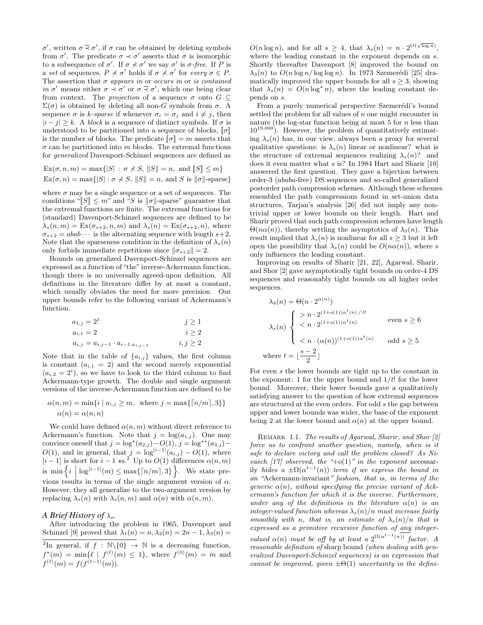σ', written  $\sigma \leq \sigma'$ , if  $\sigma$  can be obtained by deleting symbols from  $\sigma'$ . The predicate  $\sigma \prec \sigma'$  asserts that  $\sigma$  is isomorphic to a subsequence of  $\sigma'$ . If  $\sigma \nless \sigma'$  we say  $\sigma'$  is  $\sigma$ -free. If P is a set of sequences,  $P \nless \sigma'$  holds if  $\sigma \nless \sigma'$  for every  $\sigma \in P$ . The assertion that  $\sigma$  appears in or occurs in or is contained in  $\sigma'$  means either  $\sigma \prec \sigma'$  or  $\sigma \prec \sigma'$ , which one being clear from context. The *projection* of a sequence  $\sigma$  onto  $G \subseteq$  $\Sigma(\sigma)$  is obtained by deleting all non-G symbols from  $\sigma$ . A sequence  $\sigma$  is k-sparse if whenever  $\sigma_i = \sigma_j$  and  $i \neq j$ , then  $|i - j| \geq k$ . A *block* is a sequence of distinct symbols. If  $\sigma$  is understood to be partitioned into a sequence of blocks,  $\llbracket \sigma \rrbracket$ is the number of blocks. The predicate  $\llbracket \sigma \rrbracket = m$  asserts that  $\sigma$  can be partitioned into m blocks. The extremal functions for generalized Davenport-Schinzel sequences are defined as

$$
Ex(\sigma, n, m) = \max\{|S| : \sigma \nless S, ||S|| = n, \text{ and } [[S]] \le m\}
$$
  

$$
Ex(\sigma, n) = \max\{|S| : \sigma \nless S, ||S|| = n, \text{ and } S \text{ is } ||\sigma||\text{-sparse}\}
$$

where  $\sigma$  may be a single sequence or a set of sequences. The conditions " $\llbracket S \rrbracket \leq m$ " and "S is  $\llbracket \sigma \rrbracket$ -sparse" guarantee that the extremal functions are finite. The extremal functions for (standard) Davenport-Schinzel sequences are defined to be  $\lambda_s(n,m) = \text{Ex}(\sigma_{s+2}, n, m)$  and  $\lambda_s(n) = \text{Ex}(\sigma_{s+2}, n)$ , where  $\sigma_{s+2} = abab \cdots$  is the alternating sequence with length  $s+2$ . Note that the sparseness condition in the definition of  $\lambda_s(n)$ only forbids immediate repetitions since  $\|\sigma_{s+2}\| = 2$ .

Bounds on generalized Davenport-Schinzel sequences are expressed as a function of "the"inverse-Ackermann function, though there is no universally agreed-upon definition. All definitions in the literature differ by at most a constant, which usually obviates the need for more precision. Our upper bounds refer to the following variant of Ackermann's function.

$$
a_{1,j} = 2j \t j \ge 1a_{i,1} = 2 \t i \ge 2a_{i,j} = a_{i,j-1} \t a_{i-1,a_{i,j-1}} \t i, j \ge 2
$$

Note that in the table of  $\{a_{i,j}\}$  values, the first column is constant  $(a_{i,1} = 2)$  and the second merely exponential  $(a_{i,2}=2^i)$ , so we have to look to the third column to find Ackermann-type growth. The double and single argument versions of the inverse-Ackermann function are defined to be

$$
\alpha(n,m) = \min\{i \mid a_{i,j} \ge m, \text{ where } j = \max\{\lceil n/m \rceil, 3\}\}\
$$

$$
\alpha(n) = \alpha(n,n)
$$

We could have defined  $\alpha(n, m)$  without direct reference to Ackermann's function. Note that  $j = \log(a_{1,j})$ . One may convince oneself that  $j = \log^*(a_{2,j}) - O(1), j = \log^{**}(a_{3,j}) O(1)$ , and in general, that  $j = \log^{[i-1]}(a_{i,j}) - O(1)$ , where  $[i-1]$  is short for  $i-1$  \*s.<sup>2</sup> Up to  $O(1)$  differences  $\alpha(n, m)$ is  $\min\left\{i \mid \log^{[i-1]}(m) \leq \max\{\lceil n/m \rceil, 3\}\right\}$ . We state previous results in terms of the single argument version of  $\alpha$ . However, they all generalize to the two-argument version by replacing  $\lambda_s(n)$  with  $\lambda_s(n,m)$  and  $\alpha(n)$  with  $\alpha(n,m)$ .

#### *A Brief History of*  $\lambda_s$ .

After introducing the problem in 1965, Davenport and Schinzel [9] proved that  $\lambda_1(n) = n, \lambda_2(n) = 2n - 1, \lambda_3(n) =$ 

 $O(n \log n)$ , and for all  $s \geq 4$ , that  $\lambda_s(n) = n \cdot 2^{O(\sqrt{\log n})}$ , where the leading constant in the exponent depends on s. Shortly thereafter Davenport [8] improved the bound on  $\lambda_3(n)$  to  $O(n \log n / \log \log n)$ . In 1973 Szemerédi [25] dramatically improved the upper bounds for all  $s \geq 3$ , showing that  $\lambda_s(n) = O(n \log^* n)$ , where the leading constant depends on s.

From a purely numerical perspective Szemerédi's bound settled the problem for all values of  $n$  one might encounter in nature (the log-star function being at most  $5$  for  $n$  less than  $10^{19,000}$ . However, the problem of quantitatively estimating  $\lambda_s(n)$  has, in our view, always been a proxy for several qualitative questions: is  $\lambda_s(n)$  linear or nonlinear? what is the structure of extremal sequences realizing  $\lambda_s(n)$ ? and does it even matter what s is? In 1984 Hart and Sharir [10] answered the first question. They gave a bijection between order-3 (ababa-free) DS sequences and so-called generalized postorder path compression schemes. Although these schemes resembled the path compressions found in set-union data structures, Tarjan's analysis [26] did not imply any nontrivial upper or lower bounds on their length. Hart and Sharir proved that such path compression schemes have length  $\Theta(n\alpha(n))$ , thereby settling the asymptotics of  $\lambda_3(n)$ . This result implied that  $\lambda_s(n)$  is nonlinear for all  $s \geq 3$  but it left open the possibility that  $\lambda_s(n)$  could be  $O(n\alpha(n))$ , where s only influences the leading constant.

Improving on results of Sharir [21, 22], Agarwal, Sharir, and Shor [2] gave asymptotically tight bounds on order-4 DS sequences and reasonably tight bounds on all higher order sequences.

$$
\lambda_4(n) = \Theta(n \cdot 2^{\alpha(n)})
$$
\n
$$
\lambda_s(n) \begin{cases}\n> n \cdot 2^{(1+o(1))\alpha^t(n)/t!} \\
< n \cdot 2^{(1+o(1))\alpha^t(n)} \\
< n \cdot (\alpha(n))^{(1+o(1))\alpha^t(n)} \\
\text{where } t = \lfloor \frac{s-2}{2} \rfloor\n\end{cases} \text{ where } t = \lfloor \frac{s-2}{2} \rfloor
$$

For even s the lower bounds are tight up to the constant in the exponent: 1 for the upper bound and  $1/t!$  for the lower bound. Moreover, their lower bounds gave a qualitatively satisfying answer to the question of how extremal sequences are structured at the even orders. For odd s the gap between upper and lower bounds was wider, the base of the exponent being 2 at the lower bound and  $\alpha(n)$  at the upper bound.

REMARK 1.1. The results of Agarwal, Sharir, and Shor [2] force us to confront another question, namely, when is it safe to declare victory and call the problem closed? As Nivasch [17] observed, the "+o(1)" in the exponent necessarily hides a  $\pm \Omega(\alpha^{t-1}(n))$  term if we express the bound in an "Ackermann-invariant" fashion, that is, in terms of the generic  $\alpha(n)$ , without specifying the precise variant of Ackermann's function for which it is the inverse. Furthermore, under any of the definitions in the literature  $\alpha(n)$  is an integer-valued function whereas  $\lambda_s(n)/n$  must increase fairly smoothly with n, that is, an estimate of  $\lambda_s(n)/n$  that is expressed as a primitive recursive function of any integervalued  $\alpha(n)$  must be off by at least a  $2^{\Omega(\alpha^{t-1}(n))}$  factor. A reasonable definition of sharp bound (when dealing with generalized Davenport-Schinzel sequences) is an expression that cannot be improved, given  $\pm\Theta(1)$  uncertainty in the defini-

<sup>&</sup>lt;sup>2</sup>In general, if  $f : \mathbb{N}\backslash\{0\} \rightarrow \mathbb{N}$  is a decreasing function,  $f^{\star}(m) = \min\{\ell \mid f^{(\ell)}(m) \leq 1\},\$  where  $f^{(0)}(m) = m$  and  $f^{(\ell)}(m) = f(f^{(\ell-1)}(m)).$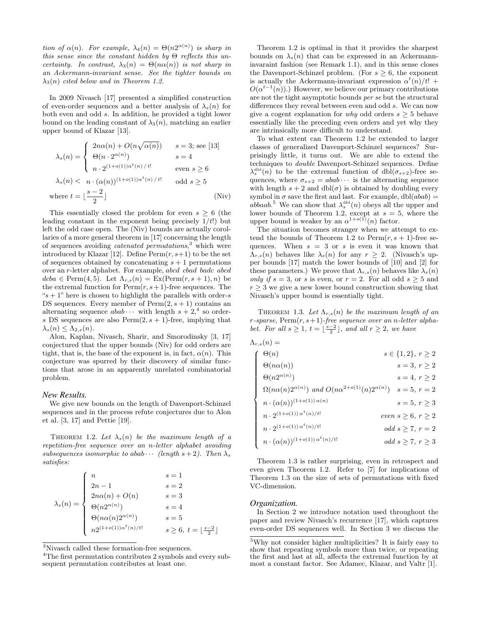tion of  $\alpha(n)$ . For example,  $\lambda_4(n) = \Theta(n2^{\alpha(n)})$  is sharp in this sense since the constant hidden by  $\Theta$  reflects this uncertainty. In contrast,  $\lambda_3(n) = \Theta(n\alpha(n))$  is not sharp in an Ackermann-invariant sense. See the tighter bounds on  $\lambda_3(n)$  cited below and in Theorem 1.2.

In 2009 Nivasch [17] presented a simplified construction of even-order sequences and a better analysis of  $\lambda_s(n)$  for both even and odd s. In addition, he provided a tight lower bound on the leading constant of  $\lambda_3(n)$ , matching an earlier upper bound of Klazar [13].

$$
\lambda_s(n) = \begin{cases}\n2n\alpha(n) + O(n\sqrt{\alpha(n)}) & s = 3; \text{ see [13]} \\
\Theta(n \cdot 2^{\alpha(n)}) & s = 4 \\
n \cdot 2^{(1+o(1))\alpha^t(n)/t!} & \text{ even } s \ge 6 \\
\lambda_s(n) < n \cdot (\alpha(n))^{(1+o(1))\alpha^t(n)/t!} & \text{ odd } s \ge 5\n\end{cases}
$$
\nwhere  $t = \lfloor \frac{s-2}{2} \rfloor$  (Niv)

This essentially closed the problem for even  $s > 6$  (the leading constant in the exponent being precisely  $1/t!$ ) but left the odd case open. The (Niv) bounds are actually corollaries of a more general theorem in [17] concerning the length of sequences avoiding *catenated permutations*,<sup>3</sup> which were introduced by Klazar [12]. Define  $\text{Perm}(r, s+1)$  to be the set of sequences obtained by concatenating  $s + 1$  permutations over an r-letter alphabet. For example, abcd cbad badc abcd  $dcba \in \text{Perm}(4, 5)$ . Let  $\Lambda_{r,s}(n) = \text{Ex}(\text{Perm}(r, s+1), n)$  be the extremal function for  $\text{Perm}(r, s+1)$ -free sequences. The " $s + 1$ " here is chosen to highlight the parallels with order- $s$ DS sequences. Every member of  $Perm(2, s + 1)$  contains an alternating sequence  $abab \cdots$  with length  $s+2$ <sup>4</sup>, so orders DS sequences are also  $Perm(2, s + 1)$ -free, implying that  $\lambda_s(n) \leq \Lambda_{2,s}(n)$ .

Alon, Kaplan, Nivasch, Sharir, and Smorodinsky [3, 17] conjectured that the upper bounds (Niv) for odd orders are tight, that is, the base of the exponent is, in fact,  $\alpha(n)$ . This conjecture was spurred by their discovery of similar functions that arose in an apparently unrelated combinatorial problem.

#### *New Results.*

We give new bounds on the length of Davenport-Schinzel sequences and in the process refute conjectures due to Alon et al. [3, 17] and Pettie [19].

THEOREM 1.2. Let  $\lambda_s(n)$  be the maximum length of a repetition-free sequence over an n-letter alphabet avoiding subsequences isomorphic to abab  $\cdots$  (length  $s+2$ ). Then  $\lambda_s$ satisfies:

$$
\lambda_s(n) = \begin{cases}\n n & s = 1 \\
 2n - 1 & s = 2 \\
 2n\alpha(n) + O(n) & s = 3 \\
 \Theta(n2^{\alpha(n)}) & s = 4 \\
 \Theta(n\alpha(n)2^{\alpha(n)}) & s = 5 \\
 n2^{(1+o(1))\alpha^t(n)/t!} & s \ge 6, t = \lfloor \frac{s-2}{2} \rfloor\n\end{cases}
$$

<sup>3</sup>Nivasch called these formation-free sequences.

Theorem 1.2 is optimal in that it provides the sharpest bounds on  $\lambda_s(n)$  that can be expressed in an Ackermanninvaraint fashion (see Remark 1.1), and in this sense closes the Davenport-Schinzel problem. (For  $s \geq 6$ , the exponent is actually the Ackermann-invariant expression  $\alpha^{t}(n)/t!$  +  $O(\alpha^{t-1}(n))$ .) However, we believe our primary contributions are not the tight asymptotic bounds per se but the structural differences they reveal between even and odd s. We can now give a cogent explanation for why odd orders  $s \geq 5$  behave essentially like the preceding even orders and yet why they are intrinsically more difficult to understand.

To what extent can Theorem 1.2 be extended to larger classes of generalized Davenport-Schinzel sequences? Surprisingly little, it turns out. We are able to extend the techniques to double Davenport-Schinzel sequences. Define  $\lambda_s^{\text{dbl}}(n)$  to be the extremal function of  $dbl(\sigma_{s+2})$ -free sequences, where  $\sigma_{s+2} = abab \cdots$  is the alternating sequence with length  $s + 2$  and  $dbl(\sigma)$  is obtained by doubling every symbol in  $\sigma$  save the first and last. For example,  $dbl(abab) =$ abbaab.<sup>5</sup> We can show that  $\lambda_s^{\text{dbl}}(n)$  obeys all the upper and lower bounds of Theorem 1.2, except at  $s = 5$ , where the upper bound is weaker by an  $\alpha^{1+o(1)}(n)$  factor.

The situation becomes stranger when we attempt to extend the bounds of Theorem 1.2 to  $\text{Perm}(r, s + 1)$ -free sequences. When  $s = 3$  or s is even it was known that  $\Lambda_{r,s}(n)$  behaves like  $\lambda_s(n)$  for any  $r \geq 2$ . (Nivasch's upper bounds [17] match the lower bounds of [10] and [2] for these parameters.) We prove that  $\Lambda_{r,s}(n)$  behaves like  $\lambda_s(n)$ only if  $s = 3$ , or s is even, or  $r = 2$ . For all odd  $s > 5$  and  $r \geq 3$  we give a new lower bound construction showing that Nivasch's upper bound is essentially tight.

THEOREM 1.3. Let  $\Lambda_{r,s}(n)$  be the maximum length of an r-sparse,  $\text{Perm}(r, s+1)$ -free sequence over an n-letter alphabet. For all  $s \geq 1$ ,  $t = \lfloor \frac{s-2}{2} \rfloor$ , and all  $r \geq 2$ , we have

| $\Lambda_{r,s}(n) =$ |                                                                             |  |                           |  |
|----------------------|-----------------------------------------------------------------------------|--|---------------------------|--|
|                      | $\Theta(n)$                                                                 |  | $s \in \{1,2\}, r \geq 2$ |  |
|                      | $\Theta(n\alpha(n))$                                                        |  | $s=3, r \geq 2$           |  |
|                      | $\Theta(n2^{\alpha(n)})$                                                    |  | $s=4, r \geq 2$           |  |
|                      | $\Omega(n\alpha(n)2^{\alpha(n)})$ and $O(n\alpha^{2+o(1)}(n)2^{\alpha(n)})$ |  | $s=5, r=2$                |  |
|                      | $n \cdot (\alpha(n))^{(1+o(1)) \alpha(n)}$                                  |  | $s=5, r \geq 3$           |  |
|                      | $n \cdot 2^{(1+o(1)) \alpha^t(n)/t!}$                                       |  | even $s \geq 6, r \geq 2$ |  |
|                      | $n \cdot 2^{(1+o(1)) \alpha^t(n)/t!}$                                       |  | odd $s \geq 7$ , $r = 2$  |  |
|                      | $n \cdot (\alpha(n))^{(1+o(1)) \, \alpha^t(n)/t!}$                          |  | odd $s \geq 7, r \geq 3$  |  |
|                      |                                                                             |  |                           |  |

Theorem 1.3 is rather surprising, even in retrospect and even given Theorem 1.2. Refer to [7] for implications of Theorem 1.3 on the size of sets of permutations with fixed VC-dimension.

#### *Organization.*

In Section 2 we introduce notation used throughout the paper and review Nivasch's recurrence [17], which captures even-order DS sequences well. In Section 3 we discuss the

<sup>4</sup>The first permutation contributes 2 symbols and every subsequent permutation contributes at least one.

 $^{5}\mathrm{Why}$  not consider higher multiplicities? It is fairly easy to show that repeating symbols more than twice, or repeating the first and last at all, affects the extremal function by at most a constant factor. See Adamec, Klazar, and Valtr [1].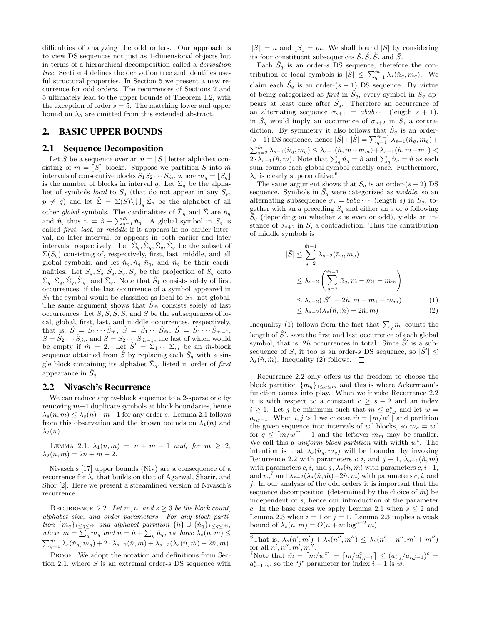difficulties of analyzing the odd orders. Our approach is to view DS sequences not just as 1-dimensional objects but in terms of a hierarchical decomposition called a derivation tree. Section 4 defines the derivation tree and identifies useful structural properties. In Section 5 we present a new recurrence for odd orders. The recurrences of Sections 2 and 5 ultimately lead to the upper bounds of Theorem 1.2, with the exception of order  $s = 5$ . The matching lower and upper bound on  $\lambda_5$  are omitted from this extended abstract.

# 2. BASIC UPPER BOUNDS

## 2.1 Sequence Decomposition

Let S be a sequence over an  $n = ||S||$  letter alphabet consisting of  $m = \llbracket S \rrbracket$  blocks. Suppose we partition S into  $\hat{m}$ intervals of consecutive blocks  $S_1S_2\cdots S_{\hat{m}}$ , where  $m_q = \llbracket S_q \rrbracket$ is the number of blocks in interval q. Let  $\Sigma_q$  be the alphabet of symbols *local* to  $S_q$  (that do not appear in any  $S_p$ ,  $p \neq q$ ) and let  $\hat{\Sigma} = \Sigma(S) \backslash \bigcup_q \check{\Sigma}_q$  be the alphabet of all other global symbols. The cardinalities of  $\check{\Sigma}_q$  and  $\hat{\Sigma}$  are  $\check{n}_q$ and  $\hat{n}$ , thus  $n = \hat{n} + \sum_{q=1}^{\hat{m}} \tilde{n}_q$ . A global symbol in  $S_q$  is called *first*, *last*, or *middle* if it appears in no earlier interval, no later interval, or appears in both earlier and later intervals, respectively. Let  $\tilde{\Sigma}_q, \tilde{\Sigma}_q, \bar{\Sigma}_q, \hat{\Sigma}_q$  be the subset of  $\Sigma(S_q)$  consisting of, respectively, first, last, middle, and all global symbols, and let  $\acute{n}_q$ ,  $\bar{n}_q$ ,  $\bar{n}_q$ , and  $\hat{n}_q$  be their cardinalities. Let  $\check{S}_q$ ,  $\hat{S}_q$ ,  $\check{S}_q$ ,  $\check{S}_q$ ,  $\bar{S}_q$  be the projection of  $S_q$  onto  $\tilde{\Sigma}_q, \hat{\Sigma}_q, \hat{\Sigma}_q, \hat{\Sigma}_q$ , and  $\bar{\Sigma}_q$ . Note that  $\hat{S}_1$  consists solely of first occurrences; if the last occurrence of a symbol appeared in  $S_1$  the symbol would be classified as local to  $S_1$ , not global. The same argument shows that  $\ddot{S}_{\hat{m}}$  consists solely of last occurrences. Let  $\check{S}, \hat{S}, \check{S}, \check{S},$  and  $\bar{S}$  be the subsequences of local, global, first, last, and middle occurrences, respectively, that is,  $\check{S} = \check{S}_1 \cdots \check{S}_{\hat{m}}, \; \hat{S} = \hat{S}_1 \cdots \hat{S}_{\hat{m}}, \; \acute{S} = \hat{S}_1 \cdots \hat{S}_{\hat{m}-1},$  $\hat{S} = \hat{S}_2 \cdots \hat{S}_{\hat{m}}$ , and  $\bar{S} = \bar{S}_2 \cdots \bar{S}_{\hat{m}-1}$ , the last of which would be empty if  $\hat{m} = 2$ . Let  $\hat{S}' = \hat{\Sigma}_1 \cdots \hat{\Sigma}_{\hat{m}}$  be an  $\hat{m}$ -block sequence obtained from  $\hat{S}$  by replacing each  $\hat{S}_q$  with a single block containing its alphabet  $\hat{\Sigma}_q$ , listed in order of first appearance in  $\hat{S}_q$ .

#### 2.2 Nivasch's Recurrence

We can reduce any  $m$ -block sequence to a 2-sparse one by removing m−1 duplicate symbols at block boundaries, hence  $\lambda_s(n,m) \leq \lambda_s(n) + m - 1$  for any order s. Lemma 2.1 follows from this observation and the known bounds on  $\lambda_1(n)$  and  $\lambda_2(n)$ .

LEMMA 2.1.  $\lambda_1(n,m) = n + m - 1$  and, for  $m \geq 2$ ,  $\lambda_2(n,m) = 2n + m - 2.$ 

Nivasch's [17] upper bounds (Niv) are a consequence of a recurrence for  $\lambda_s$  that builds on that of Agarwal, Sharir, and Shor [2]. Here we present a streamlined version of Nivasch's recurrence.

RECURRENCE 2.2. Let  $m, n,$  and  $s \geq 3$  be the block count, alphabet size, and order parameters. For any block partition  $\{m_q\}_{1\leq q\leq \hat{m}}$  and alphabet partition  $\{\hat{n}\}\cup\{\check{n}_q\}_{1\leq q\leq \hat{m}}$ , where  $m = \sum_q m_q$  and  $n = \hat{n} + \sum_q \check{n}_q$ , we have  $\lambda_s(n,m) \leq$  $\sum_{q=1}^{\hat{m}} \lambda_s(\tilde{n}_q, m_q) + 2 \cdot \lambda_{s-1}(\hat{n}, m) + \lambda_{s-2}(\lambda_s(\hat{n}, \hat{m}) - 2\hat{n}, m).$ 

PROOF. We adopt the notation and definitions from Section 2.1, where  $S$  is an extremal order- $s$  DS sequence with  $||S|| = n$  and  $||S|| = m$ . We shall bound |S| by considering its four constituent subsequences  $\check{S}, \check{S}, \check{S},$  and  $\bar{S}$ .

Each  $\check{S}_q$  is an order-s DS sequence, therefore the contribution of local symbols is  $|\check{S}| \leq \sum_{q=1}^{\hat{m}} \lambda_s(\check{n}_q, m_q)$ . We claim each  $\acute{S}_q$  is an order- $(s-1)$  DS sequence. By virtue of being categorized as *first* in  $\hat{S}_q$ , every symbol in  $\hat{S}_q$  appears at least once after  $\acute{S}_q$ . Therefore an occurrence of an alternating sequence  $\sigma_{s+1} = abab \cdots$  (length  $s+1$ ), in  $\dot{S}_q$  would imply an occurrence of  $\sigma_{s+2}$  in S, a contradiction. By symmetry it also follows that  $\dot{S}_q$  is an order- $(s-1)$  DS sequence, hence  $|\acute{S}| + |\grave{S}| = \sum_{q=1}^{\hat{m}-1} \lambda_{s-1}(\acute{n}_q, m_q) +$  $\sum_{q=2}^{\hat{m}} \lambda_{s-1}(\grave{n}_q, m_q) \leq \lambda_{s-1}(\hat{n}, m-m_{\hat{m}}) + \lambda_{s-1}(\hat{n}, m-m_1)$  $2 \cdot \lambda_{s-1}(\hat{n}, m)$ . Note that  $\sum_{q} \hat{n}_q = \hat{n}$  and  $\sum_{q} \hat{n}_q = \hat{n}$  as each sum counts each global symbol exactly once. Furthermore,  $\lambda_s$  is clearly superadditive.<sup>6</sup>

The same argument shows that  $\bar{S}_q$  is an order- $(s - 2)$  DS sequence. Symbols in  $\bar{S}_q$  were categorized as *middle*, so an alternating subsequence  $\sigma_s = baba \cdots$  (length s) in  $\bar{S}_q$ , together with an a preceding  $\overline{S}_q$  and either an a or b following  $S_q$  (depending on whether s is even or odd), yields an instance of  $\sigma_{s+2}$  in S, a contradiction. Thus the contribution of middle symbols is

$$
|\bar{S}| \leq \sum_{q=2}^{\hat{m}-1} \lambda_{s-2}(\bar{n}_q, m_q)
$$
  
\n
$$
\leq \lambda_{s-2} \left( \sum_{q=2}^{\hat{m}-1} \bar{n}_q, m - m_1 - m_{\hat{m}} \right)
$$
  
\n
$$
\leq \lambda_{s-2} (|\hat{S}'| - 2\hat{n}, m - m_1 - m_{\hat{m}})
$$
  
\n
$$
\leq \lambda_{s-2} (\lambda_s(\hat{n}, \hat{m}) - 2\hat{n}, m)
$$
 (1)

Inequality (1) follows from the fact that  $\sum_{q} \bar{n}_q$  counts the length of  $\hat{S}'$ , save the first and last occurrence of each global symbol, that is,  $2\hat{n}$  occurrences in total. Since  $\hat{S}'$  is a subsequence of S, it too is an order-s DS sequence, so  $|\hat{S}'| \leq$  $\lambda_s(\hat{n}, \hat{m})$ . Inequality (2) follows.  $\square$ 

Recurrence 2.2 only offers us the freedom to choose the block partition  $\{m_q\}_{1\leq q\leq \hat{m}}$  and this is where Ackermann's function comes into play. When we invoke Recurrence 2.2 it is with respect to a constant  $c \geq s - 2$  and an index  $i \geq 1$ . Let j be minimum such that  $m \leq a_{i,j}^c$  and let  $w =$  $a_{i,j-1}$ . When  $i, j > 1$  we choose  $\hat{m} = \lceil m/w^c \rceil$  and partition the given sequence into intervals of  $w^c$  blocks, so  $m_q = w^c$ for  $q \leq \lceil m/w^c \rceil - 1$  and the leftover  $m_{\hat{m}}$  may be smaller. We call this a *uniform block partition* with width  $w^c$ . The intention is that  $\lambda_s(\check{n}_q, m_q)$  will be bounded by invoking Recurrence 2.2 with parameters c, i, and  $j - 1$ ,  $\lambda_{s-1}(\hat{n}, m)$ with parameters c, i, and j,  $\lambda_s(\hat{n}, \hat{m})$  with parameters c, i–1, and  $w_i^7$  and  $\lambda_{s-2}(\lambda_s(\hat{n}, \hat{m})-2\hat{n}, m)$  with parameters  $c, i$ , and j. In our analysis of the odd orders it is important that the sequence decomposition (determined by the choice of  $\hat{m}$ ) be independent of s, hence our introduction of the parameter c. In the base cases we apply Lemma 2.1 when  $s \leq 2$  and Lemma 2.3 when  $i = 1$  or  $j = 1$ . Lemma 2.3 implies a weak bound of  $\lambda_s(n,m) = O(n + m \log^{s-2} m)$ .

<sup>&</sup>lt;sup>6</sup>That is,  $\lambda_s(n', m') + \lambda_s(n'', m'') \leq \lambda_s(n' + n'', m' + m'')$ for all  $n', n'', m', m''$ .

 $\int^{\tau}$ Note that  $\hat{m} = \lceil m/w^c \rceil = \lceil m/a_{i,j-1}^c \rceil \le (a_{i,j}/a_{i,j-1})^c$  $a_{i-1,w}^c$ , so the "j" parameter for index  $i-1$  is w.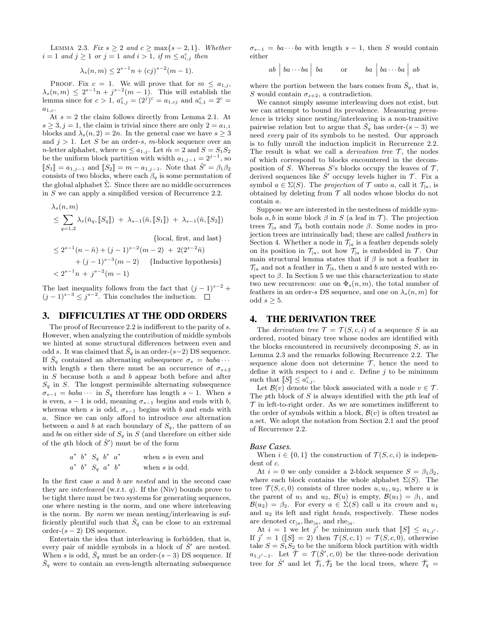LEMMA 2.3. Fix  $s \geq 2$  and  $c \geq \max\{s-2, 1\}$ . Whether  $i = 1$  and  $j \ge 1$  or  $j = 1$  and  $i > 1$ , if  $m \le a_{i,j}^c$  then

$$
\lambda_s(n,m) \le 2^{s-1}n + (cj)^{s-2}(m-1).
$$

PROOF. Fix  $c = 1$ . We will prove that for  $m \leq a_{1,j}$ ,  $\lambda_s(n,m) \leq 2^{s-1}n + j^{s-2}(m-1)$ . This will establish the lemma since for  $c > 1$ ,  $a_{1,j}^c = (2^j)^c = a_{1,cj}$  and  $a_{i,1}^c = 2^c =$  $a_{1,c}$ 

At  $s = 2$  the claim follows directly from Lemma 2.1. At  $s \geq 3, j = 1$ , the claim is trivial since there are only  $2 = a_{1,1}$ blocks and  $\lambda_s(n, 2) = 2n$ . In the general case we have  $s \geq 3$ and  $j > 1$ . Let S be an order-s, m-block sequence over an *n*-letter alphabet, where  $m \le a_{1,j}$ . Let  $\hat{m} = 2$  and  $S = S_1S_2$ be the uniform block partition with width  $a_{1,j-1} = 2^{j-1}$ , so  $[[S_1] = a_{1,j-1} \text{ and } [[S_2] = m - a_{1,j-1}].$  Note that  $\hat{S}' = \beta_1 \beta_2$ consists of two blocks, where each  $\beta_q$  is some permutation of the global alphabet  $\Sigma$ . Since there are no middle occurrences in S we can apply a simplified version of Recurrence 2.2.

$$
\lambda_s(n, m)
$$
\n
$$
\leq \sum_{q=1,2} \lambda_s(\tilde{n}_q, [\![S_q]\!]) + \lambda_{s-1}(\hat{n}, [\![S_1]\!]) + \lambda_{s-1}(\hat{n}, [\![S_2]\!])
$$
\n{local, first, and last}  
\n
$$
\leq 2^{s-1}(n-\hat{n}) + (j-1)^{s-2}(m-2) + 2(2^{s-2}\hat{n})
$$
\n
$$
+ (j-1)^{s-3}(m-2) \quad {\text{Inductive hypothesis}}
$$
\n
$$
< 2^{s-1}n + j^{s-2}(m-1)
$$

The last inequality follows from the fact that  $(j-1)^{s-2}$  +  $(j-1)^{s-3} \leq j^{s-2}$ . This concludes the induction.

#### 3. DIFFICULTIES AT THE ODD ORDERS

The proof of Recurrence 2.2 is indifferent to the parity of s. However, when analyzing the contribution of middle symbols we hinted at some structural differences between even and odd s. It was claimed that  $\bar{S}_q$  is an order-(s−2) DS sequence. If  $\bar{S}_q$  contained an alternating subsequence  $\sigma_s = baba \cdots$ with length s then there must be an occurrence of  $\sigma_{s+2}$ in  $S$  because both  $a$  and  $b$  appear both before and after  $S_q$  in S. The longest permissible alternating subsequence  $\sigma_{s-1} = baba \cdots$  in  $\bar{S}_q$  therefore has length  $s-1$ . When s is even,  $s - 1$  is odd, meaning  $\sigma_{s-1}$  begins and ends with b, whereas when s is odd,  $\sigma_{s-1}$  begins with b and ends with a. Since we can only afford to introduce one alternation between a and b at each boundary of  $S_q$ , the pattern of as and bs on either side of  $S_q$  in S (and therefore on either side of the qth block of  $\hat{S}'$  must be of the form

$$
a^* b^* S_q b^* a^*
$$
 when s is even and  

$$
a^* b^* S_q a^* b^*
$$
 when s is odd.

In the first case  $a$  and  $b$  are nested and in the second case they are *interleaved* (w.r.t. q). If the (Niv) bounds prove to be tight there must be two systems for generating sequences, one where nesting is the norm, and one where interleaving is the norm. By norm we mean nesting/interleaving is sufficiently plentiful such that  $S_q$  can be close to an extremal order- $(s - 2)$  DS sequence.

Entertain the idea that interleaving is forbidden, that is, every pair of middle symbols in a block of  $\hat{S}'$  are nested. When s is odd,  $\bar{S}_q$  must be an order-(s – 3) DS sequence. If  $\bar{S}_q$  were to contain an even-length alternating subsequence

 $\sigma_{s-1} = ba \cdots ba$  with length  $s-1$ , then S would contain either

$$
ab \mid ba \cdots ba \mid ba \quad \text{or} \quad ba \mid ba \cdots ba \mid ab
$$

where the portion between the bars comes from  $\bar{S}_q$ , that is, S would contain  $\sigma_{s+2}$ , a contradiction.

We cannot simply assume interleaving does not exist, but we can attempt to bound its prevalence. Measuring prevalence is tricky since nesting/interleaving is a non-transitive pairwise relation but to argue that  $\bar{S}_q$  has order- $(s-3)$  we need every pair of its symbols to be nested. Our approach is to fully unroll the induction implicit in Recurrence 2.2. The result is what we call a *derivation tree*  $\mathcal{T}$ , the nodes of which correspond to blocks encountered in the decomposition of S. Whereas S's blocks occupy the leaves of  $\mathcal{T}$ , derived sequences like  $\hat{S}'$  occupy levels higher in  $\mathcal{T}$ . Fix a symbol  $a \in \Sigma(S)$ . The projection of  $\mathcal T$  onto a, call it  $\mathcal T_a$ , is obtained by deleting from  $\mathcal T$  all nodes whose blocks do not contain a.

Suppose we are interested in the nestedness of middle symbols  $a, b$  in some block  $\beta$  in S (a leaf in T). The projection trees  $\mathcal{T}_{a}$  and  $\mathcal{T}_{b}$  both contain node  $\beta$ . Some nodes in projection trees are intrinsically bad; these are called feathers in Section 4. Whether a node in  $\mathcal{T}_{a}$  is a feather depends solely on its position in  $\mathcal{T}_{a}$ , not how  $\mathcal{T}_{a}$  is embedded in  $\mathcal{T}_{a}$ . Our main structural lemma states that if  $\beta$  is not a feather in  $\mathcal{T}_{a}$  and not a feather in  $\mathcal{T}_{b}$ , then a and b are nested with respect to  $\beta$ . In Section 5 we use this characterization to state two new recurrences: one on  $\Phi_s(n,m)$ , the total number of feathers in an order-s DS sequence, and one on  $\lambda_s(n,m)$  for odd  $s \geq 5$ .

#### 4. THE DERIVATION TREE

The *derivation tree*  $\mathcal{T} = \mathcal{T}(S, c, i)$  of a sequence S is an ordered, rooted binary tree whose nodes are identified with the blocks encountered in recursively decomposing  $S$ , as in Lemma 2.3 and the remarks following Recurrence 2.2. The sequence alone does not determine  $\mathcal{T}$ , hence the need to define it with respect to  $i$  and  $c$ . Define  $j$  to be minimum such that  $\llbracket S \rrbracket \leq a_{i,j}^c$ .<br>Let  $\mathcal{B}(v)$  denote the

Let  $\mathcal{B}(v)$  denote the block associated with a node  $v \in \mathcal{T}$ . The pth block of  $S$  is always identified with the pth leaf of  $\mathcal T$  in left-to-right order. As we are sometimes indifferent to the order of symbols within a block,  $\mathcal{B}(v)$  is often treated as a set. We adopt the notation from Section 2.1 and the proof of Recurrence 2.2.

#### *Base Cases.*

When  $i \in \{0,1\}$  the construction of  $\mathcal{T}(S,c,i)$  is independent of c.

At  $i = 0$  we only consider a 2-block sequence  $S = \beta_1 \beta_2$ , where each block contains the whole alphabet  $\Sigma(S)$ . The tree  $\mathcal{T}(S,c,0)$  consists of three nodes  $u, u_1, u_2$ , where u is the parent of  $u_1$  and  $u_2$ ,  $\mathcal{B}(u)$  is empty,  $\mathcal{B}(u_1) = \beta_1$ , and  $\mathcal{B}(u_2) = \beta_2$ . For every  $a \in \Sigma(S)$  call u its crown and  $u_1$ and  $u_2$  its left and right *heads*, respectively. These nodes are denoted  $\operatorname{cr}_{|a}$ , lhe<sub>|a</sub>, and rhe<sub>|a</sub>.

At  $i = 1$  we let j' be minimum such that  $\llbracket S \rrbracket \leq a_{1,j'}$ .<br>  $i' = 1$  ( $\llbracket S \rrbracket = 2$ ) then  $\mathcal{T}(S, c, 1) = \mathcal{T}(S, c, 0)$  otherwise If  $j' = 1$  ([S] = 2) then  $\mathcal{T}(S, c, 1) = \mathcal{T}(S, c, 0)$ , otherwise take  $S = S_1 S_2$  to be the uniform block partition with width  $a_{1,j'-1}$ . Let  $\hat{\mathcal{T}} = \mathcal{T}(\hat{S}', c, 0)$  be the three-node derivation tree for  $\hat{S}'$  and let  $\check{\mathcal{T}}_1, \check{\mathcal{T}}_2$  be the local trees, where  $\check{\mathcal{T}}_q =$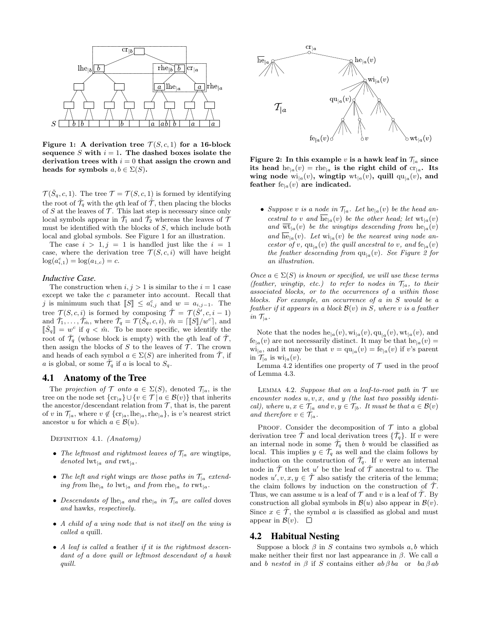

Figure 1: A derivation tree  $\mathcal{T}(S,c,1)$  for a 16-block sequence S with  $i = 1$ . The dashed boxes isolate the derivation trees with  $i = 0$  that assign the crown and heads for symbols  $a, b \in \Sigma(S)$ .

 $\mathcal{T}(\check{S}_q,c,1)$ . The tree  $\mathcal{T} = \mathcal{T}(S,c,1)$  is formed by identifying the root of  $\tilde{\mathcal{T}}_q$  with the qth leaf of  $\tilde{\mathcal{T}}_q$ , then placing the blocks of  $S$  at the leaves of  $\mathcal T$ . This last step is necessary since only local symbols appear in  $\tilde{\mathcal{T}}_1$  and  $\tilde{\mathcal{T}}_2$  whereas the leaves of  $\mathcal T$ must be identified with the blocks of  $S$ , which include both local and global symbols. See Figure 1 for an illustration.

The case  $i > 1, j = 1$  is handled just like the  $i = 1$ case, where the derivation tree  $\mathcal{T}(S,c,i)$  will have height  $log(a_{i,1}^c) = log(a_{1,c}) = c.$ 

#### *Inductive Case.*

The construction when  $i, j > 1$  is similar to the  $i = 1$  case except we take the c parameter into account. Recall that j is minimum such that  $\llbracket S \rrbracket \leq a_{i,j}^c$  and  $w = a_{i,j-1}$ . The tree  $\mathcal{T}(S,c,i)$  is formed by composing  $\hat{\mathcal{T}} = \mathcal{T}(\hat{S}', c, i - 1)$ and  $\check{\mathcal{T}}_1, \ldots, \check{\mathcal{T}}_{\hat{m}}$ , where  $\check{\mathcal{T}}_q = \mathcal{T}(\check{S}_q, c, i)$ ,  $\hat{m} = \begin{bmatrix} \|\check{S}\|/w^c \end{bmatrix}$ , and  $\mathbb{R}^{\check{S}} \mathbb{R} \to \text{arctan}$ .  $\lbrack \lbrack \check{S}_q \rbrack \rbrack = w^c$  if  $q < \hat{m}$ . To be more specific, we identify the root of  $\check{\mathcal{T}}_q$  (whose block is empty) with the qth leaf of  $\hat{\mathcal{T}}$ , then assign the blocks of  $S$  to the leaves of  $T$ . The crown and heads of each symbol  $a \in \Sigma(S)$  are inherited from  $\hat{\mathcal{T}}$ , if a is global, or some  $\check{\mathcal{T}}_q$  if a is local to  $S_q$ .

#### 4.1 Anatomy of the Tree

The projection of T onto  $a \in \Sigma(S)$ , denoted  $\mathcal{T}_{[a]}$ , is the tree on the node set  $\{c_{\Gamma|a}\}\cup\{v\in\mathcal{T}|\,a\in\mathcal{B}(v)\}\)$  that inherits the ancestor/descendant relation from  $\mathcal{T}$ , that is, the parent of v in  $\mathcal{T}_{|a}$ , where  $v \notin {\rm{cr}}_{|a}$ , lhe<sub> $|a$ </sub>, rhe<sub> $|a$ </sub>}, is v's nearest strict ancestor u for which  $a \in \mathcal{B}(u)$ .

DEFINITION 4.1. *(Anatomy)* 

- The leftmost and rightmost leaves of  $\mathcal{T}_{\vert a}$  are wingtips, denoted  $\mathrm{lw}_{|a}$  and  $\mathrm{rwt}_{|a}$ .
- The left and right wings are those paths in  $\mathcal{T}_{\vert a}$  extending from  $\text{lhe}_{|a}$  to  $\text{lwt}_{|a}$  and from  $\text{rhe}_{|a}$  to  $\text{rwt}_{|a}$ .
- Descendants of lhe<sub>|a</sub> and rhe<sub>|a</sub> in  $\mathcal{T}_{\vert a}$  are called doves and hawks, respectively.
- A child of a wing node that is not itself on the wing is called a quill.
- A leaf is called a feather if it is the rightmost descendant of a dove quill or leftmost descendant of a hawk quill.



Figure 2: In this example v is a hawk leaf in  $\mathcal{T}_{a}$  since its head  $he_{|a}(v) = rhe_{|a}$  is the right child of  $cr_{|a}$ . Its wing node  $\text{wi}_{|a}(v)$ , wingtip  $\text{wt}_{|a}(v)$ , quill  $\text{qu}_{|a}(v)$ , and feather  $f_{e|a}(v)$  are indicated.

• Suppose v is a node in  $\mathcal{T}_{|a}$ . Let  $he_{|a}(v)$  be the head ancestral to v and  $\overline{\text{he}}_{a}(v)$  be the other head; let  $\text{wt}_{a}(v)$ and  $\overline{\mathrm{wt}}_{|a}(v)$  be the wingtips descending from  $he_{|a}(v)$ and  $\overline{\text{he}}_{|a}(v)$ . Let  $\text{wi}_{|a}(v)$  be the nearest wing node ancestor of v,  $qu_{|a}(v)$  the quill ancestral to v, and  $fe_{|a}(v)$ the feather descending from  $qu_{|a}(v)$ . See Figure 2 for an illustration.

Once  $a \in \Sigma(S)$  is known or specified, we will use these terms (feather, wingtip, etc.) to refer to nodes in  $\mathcal{T}_{|a}$ , to their associated blocks, or to the occurrences of a within those blocks. For example, an occurrence of a in S would be a feather if it appears in a block  $\mathcal{B}(v)$  in S, where v is a feather in  $\mathcal{T}_{|a}$ .

Note that the nodes  $he_{|a}(v)$ ,  $wi_{|a}(v)$ ,  $qu_{|a}(v)$ ,  $wt_{|a}(v)$ , and  $f_{e|a}(v)$  are not necessarily distinct. It may be that  $he_{|a}(v) =$  $\text{wi}_{|a}$ , and it may be that  $v = \text{qu}_{|a}(v) = \text{fe}_{|a}(v)$  if v's parent in  $\mathcal{T}_{|a}$  is wi<sub>|a</sub>(v).

Lemma 4.2 identifies one property of  $\mathcal T$  used in the proof of Lemma 4.3.

LEMMA 4.2. Suppose that on a leaf-to-root path in  $T$  we encounter nodes  $u, v, x$ , and  $y$  (the last two possibly identical), where  $u, x \in \mathcal{T}_{\vert a}$  and  $v, y \in \mathcal{T}_{\vert b}$ . It must be that  $a \in \mathcal{B}(v)$ and therefore  $v \in \mathcal{T}_{a}$ .

PROOF. Consider the decomposition of  $\mathcal T$  into a global derivation tree  $\hat{\mathcal{T}}$  and local derivation trees  $\{\check{\mathcal{T}}_q\}$ . If v were an internal node in some  $\check{\mathcal{T}}_q$  then b would be classified as local. This implies  $y \in \tilde{\mathcal{T}}_q$  as well and the claim follows by induction on the construction of  $\check{\mathcal{T}}_q$ . If v were an internal node in  $\hat{\mathcal{T}}$  then let u' be the leaf of  $\hat{\mathcal{T}}$  ancestral to u. The nodes  $u', v, x, y \in \hat{\mathcal{T}}$  also satisfy the criteria of the lemma; the claim follows by induction on the construction of  $\hat{\mathcal{T}}$ . Thus, we can assume u is a leaf of  $\mathcal T$  and v is a leaf of  $\hat{\mathcal T}$ . By construction all global symbols in  $\mathcal{B}(u)$  also appear in  $\mathcal{B}(v)$ . Since  $x \in \hat{\mathcal{T}}$ , the symbol a is classified as global and must appear in  $\mathcal{B}(v)$ .  $\square$ 

#### 4.2 Habitual Nesting

Suppose a block  $\beta$  in S contains two symbols  $a, b$  which make neither their first nor last appearance in  $\beta$ . We call a and b nested in  $\beta$  if S contains either  $ab \beta ba$  or  $ba \beta ab$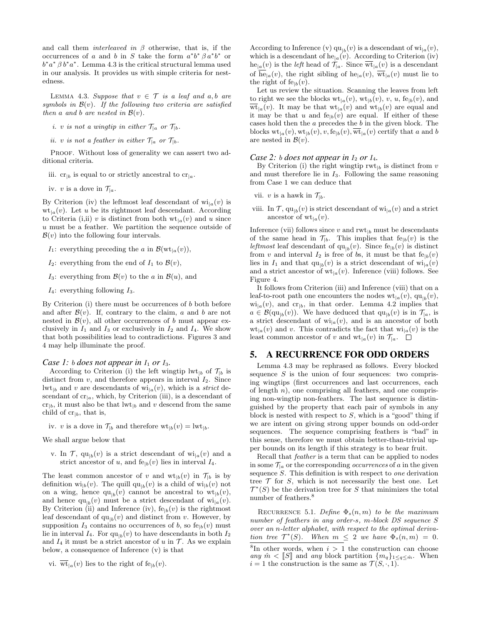and call them *interleaved in*  $\beta$  otherwise, that is, if the occurrences of a and b in S take the form  $a^*b^* \beta a^*b^*$  or  $b^*a^* \beta b^*a^*$ . Lemma 4.3 is the critical structural lemma used in our analysis. It provides us with simple criteria for nestedness.

LEMMA 4.3. Suppose that  $v \in \mathcal{T}$  is a leaf and a, b are symbols in  $\mathcal{B}(v)$ . If the following two criteria are satisfied then a and b are nested in  $\mathcal{B}(v)$ .

i. v is not a wingtip in either  $\mathcal{T}_{|a}$  or  $\mathcal{T}_{|b}$ .

ii. v is not a feather in either  $\mathcal{T}_{|a}$  or  $\mathcal{T}_{|b}$ .

PROOF. Without loss of generality we can assert two additional criteria.

iii.  $cr_{|b}$  is equal to or strictly ancestral to  $cr_{|a}$ .

iv. v is a dove in  $\mathcal{T}_{a}$ .

By Criterion (iv) the leftmost leaf descendant of  $\text{wi}_{a}(v)$  is  $\mathrm{wt}_{a}(v)$ . Let u be its rightmost leaf descendant. According to Criteria (i,ii) v is distinct from both  $\mathrm{wt}_{a}(v)$  and u since u must be a feather. We partition the sequence outside of  $\mathcal{B}(v)$  into the following four intervals.

 $I_1$ : everything preceding the a in  $\mathcal{B}(\mathrm{wt}_{a}(v)),$ 

 $I_2$ : everything from the end of  $I_1$  to  $\mathcal{B}(v)$ ,

I<sub>3</sub>: everything from  $\mathcal{B}(v)$  to the a in  $\mathcal{B}(u)$ , and

 $I_4$ : everything following  $I_3$ .

By Criterion (i) there must be occurrences of b both before and after  $\mathcal{B}(v)$ . If, contrary to the claim, a and b are not nested in  $\mathcal{B}(v)$ , all other occurrences of b must appear exclusively in  $I_1$  and  $I_3$  or exclusively in  $I_2$  and  $I_4$ . We show that both possibilities lead to contradictions. Figures 3 and 4 may help illuminate the proof.

#### *Case 1: b does not appear in*  $I_1$  *or*  $I_3$ *.*

According to Criterion (i) the left wingtip lwt<sub>|b</sub> of  $\mathcal{T}_{|b}$  is distinct from  $v$ , and therefore appears in interval  $I_2$ . Since  $\mathrm{lw}_{\vert b}$  and v are descendants of  $\mathrm{wi}_{\vert a}(v)$ , which is a *strict* descendant of  $cr_{|a}$ , which, by Criterion (iii), is a descendant of  $cr_{|b}$ , it must also be that  $\mathrm{lw}_{|b}$  and v descend from the same child of  $cr_{|b}$ , that is,

iv. v is a dove in  $\mathcal{T}_{[b]}$  and therefore  $\mathrm{wt}_{[b]}(v) = \mathrm{lwt}_{[b]}$ .

We shall argue below that

v. In  $\mathcal{T}$ ,  $qu_{|b}(v)$  is a strict descendant of  $wi_{|a}(v)$  and a strict ancestor of u, and  $f_{e|b}(v)$  lies in interval  $I_4$ .

The least common ancestor of v and  $\mathrm{wt}_{|b}(v)$  in  $\mathcal{T}_{|b}$  is by definition  $\mathrm{wi}_{|b}(v)$ . The quill  $\mathrm{qu}_{|b}(v)$  is a child of  $\mathrm{wi}_{|b}(v)$  not on a wing, hence  $qu_{|b}(v)$  cannot be ancestral to  $wt_{|b}(v)$ , and hence  $qu_{|b}(v)$  must be a strict descendant of  $wi_{|a}(v)$ . By Criterion (ii) and Inference (iv),  $f_{e|b}(v)$  is the rightmost leaf descendant of  $qu_{|b}(v)$  and distinct from v. However, by supposition  $I_3$  contains no occurrences of b, so  $f_{\text{e}}(v)$  must lie in interval  $I_4$ . For  $qu_{|b}(v)$  to have descendants in both  $I_2$ and  $I_4$  it must be a strict ancestor of u in  $\mathcal T$ . As we explain below, a consequence of Inference (v) is that

vi.  $\overline{\text{wt}}_{|a}(v)$  lies to the right of fe<sub>|b</sub>(v).

According to Inference (v)  $qu_{|b}(v)$  is a descendant of  $wi_{|a}(v)$ , which is a descendant of  $he_{|a}(v)$ . According to Criterion (iv)  $he_{|a}(v)$  is the *left* head of  $\mathcal{T}_{|a}$ . Since  $\overline{\text{wt}}_{|a}(v)$  is a descendant of  $\overline{\text{he}}_{a}(v)$ , the right sibling of  $\text{he}_{a}(v)$ ,  $\overline{\text{wt}}_{a}(v)$  must lie to the right of  $f_{e|b}(v)$ .

Let us review the situation. Scanning the leaves from left to right we see the blocks  $\mathrm{wt}_{|a}(v)$ ,  $\mathrm{wt}_{|b}(v)$ ,  $v$ ,  $u$ , fe<sub>|b</sub>(v), and  $\overline{\text{wt}}_{a}(v)$ . It may be that  $\text{wt}_{a}(v)$  and  $\text{wt}_{b}(v)$  are equal and it may be that u and  $f_{e|b}(v)$  are equal. If either of these cases hold then the a precedes the b in the given block. The blocks  $\mathrm{wt}_{a}(v), \mathrm{wt}_{b}(v), v, \mathrm{fe}_{b}(v), \overline{\mathrm{wt}}_{a}(v)$  certify that a and b are nested in  $\mathcal{B}(v)$ .

#### *Case 2: b does not appear in*  $I_2$  *or*  $I_4$ *.*

By Criterion (i) the right wingtip  $\mathrm{rwt}_{b}$  is distinct from v and must therefore lie in  $I_3$ . Following the same reasoning from Case 1 we can deduce that

- vii. v is a hawk in  $\mathcal{T}_{\vert b}$ .
- viii. In  $\mathcal{T}$ ,  $qu_{|b}(v)$  is strict descendant of  $wi_{|a}(v)$  and a strict ancestor of  $wt_{|a}(v)$ .

Inference (vii) follows since  $v$  and  $\text{rwt}_{|b}$  must be descendants of the same head in  $\mathcal{T}_{|b}$ . This implies that  $f_{e|b}(v)$  is the leftmost leaf descendant of  $qu_{|b}(v)$ . Since  $fe_{|b}(v)$  is distinct from v and interval  $I_2$  is free of bs, it must be that  $f_{e|b}(v)$ lies in  $I_1$  and that  $\text{qu}_{|b}(v)$  is a strict descendant of  $\text{wi}_{|a}(v)$ and a strict ancestor of  $\mathrm{wt}_{a}(v)$ . Inference (viii) follows. See Figure 4.

It follows from Criterion (iii) and Inference (viii) that on a leaf-to-root path one encounters the nodes  $\mathrm{wt}_{|a}(v)$ ,  $\mathrm{qu}_{|b}(v)$ ,  $\text{wi}_{|a}(v)$ , and  $\text{cr}_{|b}$ , in that order. Lemma 4.2 implies that  $a \in \mathcal{B}(\text{qu}_{|b}(v))$ . We have deduced that  $\text{qu}_{|b}(v)$  is in  $\mathcal{T}_{|a}$ , is a strict descendant of  $w_{a}(v)$ , and is an ancestor of both  $\mathrm{wt}_{|a}(v)$  and v. This contradicts the fact that  $\mathrm{wt}_{|a}(v)$  is the least common ancestor of v and  $\mathrm{wt}_{|a}(v)$  in  $\mathcal{T}_{|a}$ .  $\square$ 

## 5. A RECURRENCE FOR ODD ORDERS

Lemma 4.3 may be rephrased as follows. Every blocked sequence  $S$  is the union of four sequences: two comprising wingtips (first occurrences and last occurrences, each of length  $n$ ), one comprising all feathers, and one comprising non-wingtip non-feathers. The last sequence is distinguished by the property that each pair of symbols in any block is nested with respect to  $S$ , which is a "good" thing if we are intent on giving strong upper bounds on odd-order sequences. The sequence comprising feathers is "bad" in this sense, therefore we must obtain better-than-trivial upper bounds on its length if this strategy is to bear fruit.

Recall that feather is a term that can be applied to nodes in some  $\mathcal{T}_{a}$  or the corresponding *occurrences* of a in the given sequence S. This definition is with respect to one derivation tree  $\mathcal T$  for  $S$ , which is not necessarily the best one. Let  $\mathcal{T}^*(S)$  be the derivation tree for S that minimizes the total number of feathers.<sup>8</sup>

RECURRENCE 5.1. Define  $\Phi_s(n,m)$  to be the maximum number of feathers in any order-s, m-block DS sequence S over an n-letter alphabet, with respect to the optimal derivation tree  $\mathcal{T}^*(S)$ . When  $m \leq 2$  we have  $\Phi_s(n,m) = 0$ .

<sup>&</sup>lt;sup>8</sup>In other words, when  $i > 1$  the construction can choose any  $\hat{m} < [S]$  and any block partition  $\{m_q\}_{1 \leq q \leq \hat{m}}$ . When  $i = 1$  the construction is the same as  $\mathcal{T}(S, \cdot, 1)$ .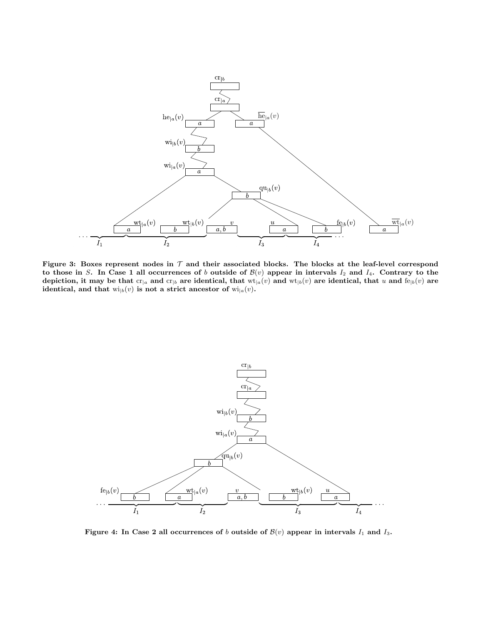

Figure 3: Boxes represent nodes in  $\mathcal T$  and their associated blocks. The blocks at the leaf-level correspond to those in S. In Case 1 all occurrences of b outside of  $\mathcal{B}(v)$  appear in intervals  $I_2$  and  $I_4$ . Contrary to the depiction, it may be that  $cr_{|a}$  and  $cr_{|b}$  are identical, that  $wt_{|a}(v)$  and  $wt_{|b}(v)$  are identical, that u and  $fe_{|b}(v)$  are identical, and that  $\text{wi}_{|b}(v)$  is not a strict ancestor of  $\text{wi}_{|a}(v)$ .



Figure 4: In Case 2 all occurrences of b outside of  $\mathcal{B}(v)$  appear in intervals  $I_1$  and  $I_3$ .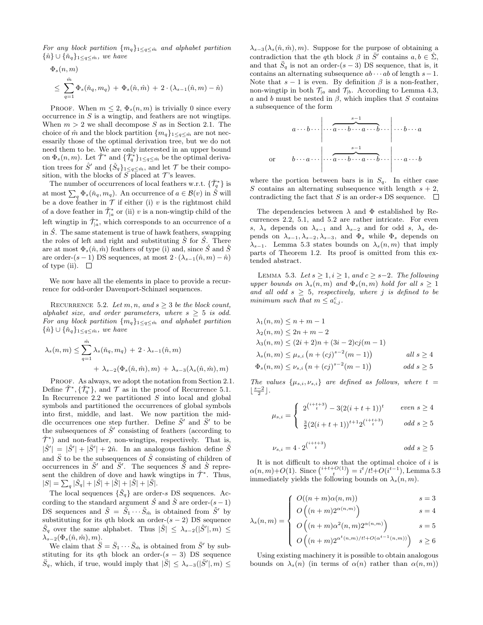For any block partition  $\{m_q\}_{1 \leq q \leq \hat{m}}$  and alphabet partition  $\{\hat{n}\} \cup \{\check{n}_q\}_{1 \leq q \leq \hat{m}}$ , we have

$$
\Phi_s(n,m)
$$
\n
$$
\leq \sum_{q=1}^{\hat{m}} \Phi_s(\check{n}_q, m_q) + \Phi_s(\hat{n}, \hat{m}) + 2 \cdot (\lambda_{s-1}(\hat{n}, m) - \hat{n})
$$

PROOF. When  $m \leq 2$ ,  $\Phi_s(n,m)$  is trivially 0 since every occurrence in S is a wingtip, and feathers are not wingtips. When  $m > 2$  we shall decompose S as in Section 2.1. The choice of  $\hat{m}$  and the block partition  $\{m_q\}_{1 \leq q \leq \hat{m}}$  are not necessarily those of the optimal derivation tree, but we do not need them to be. We are only interested in an upper bound on  $\Phi_s(n,m)$ . Let  $\hat{\mathcal{T}}^*$  and  $\{\check{\mathcal{T}}^*_q\}_{1 \leq q \leq \hat{m}}$  be the optimal derivation trees for  $\hat{S}'$  and  $\{\check{S}_q\}_{1 \leq q \leq \hat{m}}$ , and let  $\mathcal T$  be their composition, with the blocks of  $S$  placed at  $\mathcal{T}$  's leaves.

The number of occurrences of local feathers w.r.t.  $\{\check{\mathcal{T}}_q^*\}$  is at most  $\sum_q \Phi_s(\check{n}_q, m_q)$ . An occurrence of  $a \in \mathcal{B}(v)$  in  $\hat{S}$  will be a dove feather in  $\mathcal T$  if either (i) v is the rightmost child of a dove feather in  $\hat{\mathcal{T}}^*_{\vert a}$  or (ii) v is a non-wingtip child of the left wingtip in  $\hat{\mathcal{T}}^*_{|a}$ , which corresponds to an occurrence of a in  $\acute{S}$ . The same statement is true of hawk feathers, swapping the roles of left and right and substituting  $\hat{S}$  for  $\hat{S}$ . There are at most  $\Phi_s(\hat{n}, \hat{m})$  feathers of type (i) and, since S and S are order- $(s - 1)$  DS sequences, at most  $2 \cdot (\lambda_{s-1}(\hat{n}, m) - \hat{n})$ of type (ii).  $\square$ 

We now have all the elements in place to provide a recurrence for odd-order Davenport-Schinzel sequences.

RECURRENCE 5.2. Let m, n, and  $s \geq 3$  be the block count, alphabet size, and order parameters, where  $s \geq 5$  is odd. For any block partition  $\{m_q\}_{1 \leq q \leq \hat{m}}$  and alphabet partition  $\{\hat{n}\}\cup\{\check{n}_q\}_{1\leq q\leq \hat{m}}$ , we have

$$
\lambda_s(n,m) \leq \sum_{q=1}^{\hat{m}} \lambda_s(\check{n}_q, m_q) + 2 \cdot \lambda_{s-1}(\hat{n}, m)
$$

$$
+ \lambda_{s-2}(\Phi_s(\hat{n}, \hat{m}), m) + \lambda_{s-3}(\lambda_s(\hat{n}, \hat{m}), m)
$$

PROOF. As always, we adopt the notation from Section 2.1. Define  $\hat{\mathcal{T}}^*, \{\check{\mathcal{T}}_q^*\}$ , and  $\mathcal T$  as in the proof of Recurrence 5.1. In Recurrence 2.2 we partitioned  $S$  into local and global symbols and partitioned the occurrences of global symbols into first, middle, and last. We now partition the middle occurrences one step further. Define  $\tilde{S}'$  and  $\tilde{S}'$  to be the subsequences of  $\hat{S}'$  consisting of feathers (according to  $\hat{\mathcal{T}}^*$ ) and non-feather, non-wingtips, respectively. That is,  $|\hat{S}'| = |\tilde{S}'| + |\ddot{S}'| + 2\hat{n}$ . In an analogous fashion define  $\tilde{S}$ and  $\ddot{S}$  to be the subsequences of  $\ddot{S}$  consisting of children of occurrences in  $\tilde{S}'$  and  $\tilde{S}'$ . The sequences  $\check{S}$  and  $\check{S}$  represent the children of dove and hawk wingtips in  $\hat{\mathcal{T}}^*$ . Thus,  $|S| = \sum_{q} |\check{S}_q| + |\acute{S}| + |\check{S}| + |\check{S}| + |\check{S}|.$ 

The local sequences  $\{\check{S}_q\}$  are order-s DS sequences. According to the standard argument  $\acute{S}$  and  $\grave{S}$  are order- $(s - 1)$ DS sequences and  $\tilde{S} = \tilde{S}_1 \cdots \tilde{S}_{\hat{m}}$  is obtained from  $\tilde{S}'$  by substituting for its qth block an order- $(s - 2)$  DS sequence  $\tilde{S}_q$  over the same alphabet. Thus  $|\tilde{S}| \leq \lambda_{s-2}(|\tilde{S}'|, m) \leq$  $\lambda_{s-2}(\Phi_s(\hat{n},\hat{m}),m).$ 

We claim that  $\ddot{S} = \ddot{S}_1 \cdots \ddot{S}_{\hat{m}}$  is obtained from  $\ddot{S}'$  by substituting for its qth block an order- $(s - 3)$  DS sequence  $\ddot{S}_q$ , which, if true, would imply that  $|\ddot{S}| \leq \lambda_{s-3}(|\ddot{S}'|, m) \leq$ 

 $\lambda_{s-3}(\lambda_s(\hat{n}, \hat{m}), m)$ . Suppose for the purpose of obtaining a contradiction that the qth block  $\beta$  in  $\ddot{S}'$  contains  $a, b \in \hat{\Sigma}$ , and that  $\ddot{S}_q$  is not an order- $(s-3)$  DS sequence, that is, it contains an alternating subsequence  $ab \cdots ab$  of length  $s-1$ . Note that  $s - 1$  is even. By definition  $\beta$  is a non-feather, non-wingtip in both  $\mathcal{T}_{|a}$  and  $\mathcal{T}_{|b}$ . According to Lemma 4.3, a and b must be nested in  $\beta$ , which implies that S contains a subsequence of the form

a · · · b · · · · · · s−1 z }| { a · · · b · · · a · · · b · · · · · · b · · · a or b · · · a · · · · · · s−1 z }| { a · · · b · · · a · · · b · · · · · · a · · · b

where the portion between bars is in  $S_q$ . In either case S contains an alternating subsequence with length  $s + 2$ , contradicting the fact that S is an order-s DS sequence.  $\Box$ 

The dependencies between  $\lambda$  and  $\Phi$  established by Recurrences 2.2, 5.1, and 5.2 are rather intricate. For even s,  $\lambda_s$  depends on  $\lambda_{s-1}$  and  $\lambda_{s-2}$  and for odd s,  $\lambda_s$  depends on  $\lambda_{s-1}, \lambda_{s-2}, \lambda_{s-3}$ , and  $\Phi_s$  while  $\Phi_s$  depends on  $\lambda_{s-1}$ . Lemma 5.3 states bounds on  $\lambda_s(n,m)$  that imply parts of Theorem 1.2. Its proof is omitted from this extended abstract.

LEMMA 5.3. Let  $s \geq 1, i \geq 1,$  and  $c \geq s-2$ . The following upper bounds on  $\lambda_s(n,m)$  and  $\Phi_s(n,m)$  hold for all  $s \geq 1$ and all odd  $s \geq 5$ , respectively, where j is defined to be minimum such that  $m \leq a_{i,j}^c$ .

$$
\lambda_1(n, m) \le n + m - 1
$$
  
\n
$$
\lambda_2(n, m) \le 2n + m - 2
$$
  
\n
$$
\lambda_3(n, m) \le (2i + 2)n + (3i - 2)cj(m - 1)
$$
  
\n
$$
\lambda_s(n, m) \le \mu_{s,i} (n + (cj)^{s-2}(m - 1))
$$
 *all s*  $\ge 4$   
\n
$$
\Phi_s(n, m) \le \nu_{s,i} (n + (cj)^{s-2}(m - 1))
$$
 *odd s*  $\ge 5$ 

The values  $\{\mu_{s,i}, \nu_{s,i}\}$  are defined as follows, where  $t =$  $\lfloor \frac{s-2}{2} \rfloor$ .

$$
\mu_{s,i} = \begin{cases} 2^{\binom{i+t+3}{t}} - 3(2(i+t+1))^t & \text{even } s \ge 4\\ \frac{3}{2}(2(i+t+1))^{t+1}2^{\binom{i+t+3}{t}} & \text{odd } s \ge 5 \end{cases}
$$

$$
\nu_{s,i} = 4 \cdot 2^{\binom{i+t+3}{t}} \qquad \qquad \text{odd } s \ge 5
$$

It is not difficult to show that the optimal choice of  $i$  is  $\alpha(n,m)+O(1)$ . Since  $\binom{i+t+O(1)}{t} = i^t/t!+O(i^{t-1})$ , Lemma 5.3 immediately yields the following bounds on  $\lambda_s(n, m)$ .

$$
\begin{cases}\nO((n+m)\alpha(n,m)) & s=3 \\
O((n+m)\alpha(n,m)) & s=4\n\end{cases}
$$

$$
\lambda_s(n,m) = \begin{cases}\nO\left((n+m)2^{\alpha(n,m)}\right) & s = 4 \\
O\left((n+m)\alpha^2(n,m)2^{\alpha(n,m)}\right) & s = 5\n\end{cases}
$$

$$
O\left((n+m)\alpha^{t}(n,m)/t!+O(\alpha^{t-1}(n,m))\right) \quad s \ge 6
$$

Using existing machinery it is possible to obtain analogous bounds on  $\lambda_s(n)$  (in terms of  $\alpha(n)$  rather than  $\alpha(n,m)$ )